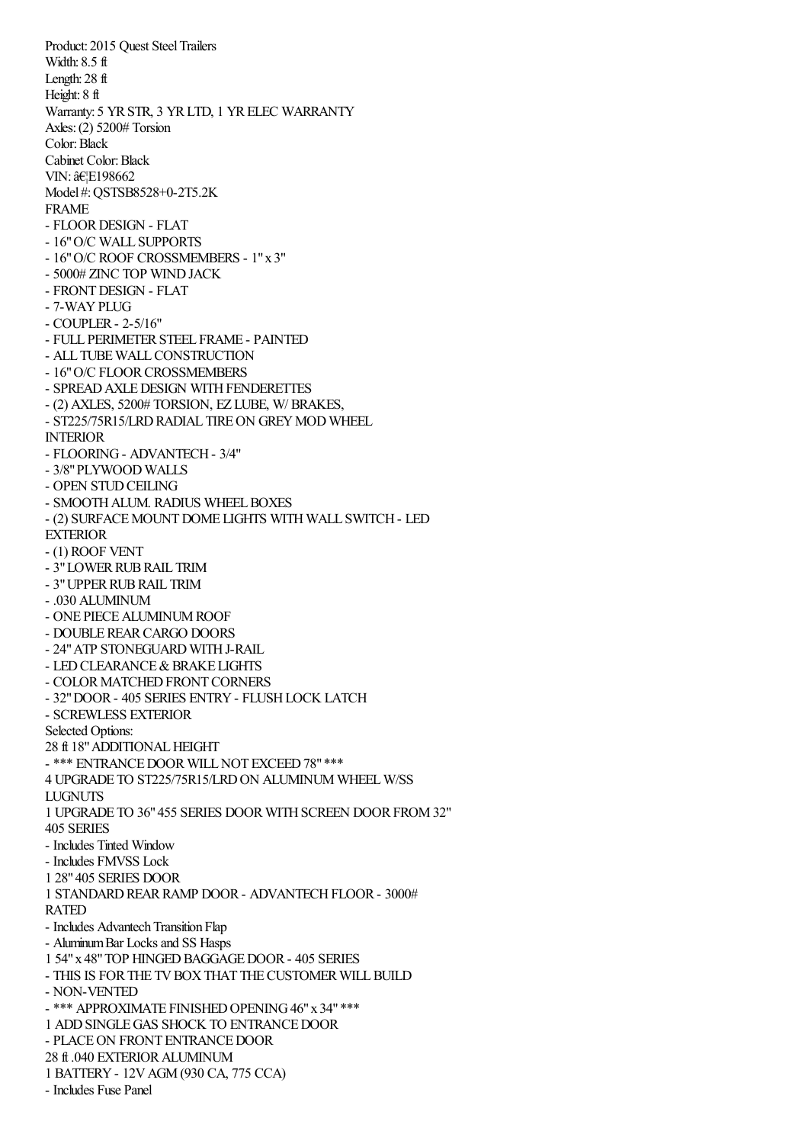Product: 2015 Quest Steel Trailers Width: 8.5 ft Length: 28 ft Height: 8 ft Warranty: 5 YR STR, 3 YR LTD, 1 YR ELEC WARRANTY Axles:(2) 5200# Torsion Color:Black Cabinet Color:Black VIN: …E198662 Model #:QSTSB8528+0-2T5.2K FRAME - FLOOR DESIGN - FLAT - 16"O/C WALL SUPPORTS - 16"O/C ROOF CROSSMEMBERS - 1"x 3" - 5000# ZINC TOP WINDJACK - FRONTDESIGN - FLAT - 7-WAYPLUG - COUPLER- 2-5/16" - FULL PERIMETERSTEEL FRAME - PAINTED - ALL TUBE WALL CONSTRUCTION - 16" O/C FLOOR CROSSMEMBERS - SPREAD AXLE DESIGN WITH FENDERETTES - (2) AXLES, 5200# TORSION, EZ LUBE, W/ BRAKES, - ST225/75R15/LRD RADIAL TIRE ON GREY MOD WHEEL INTERIOR - FLOORING- ADVANTECH- 3/4" - 3/8"PLYWOOD WALLS - OPEN STUD CEILING - SMOOTH ALUM. RADIUS WHEEL BOXES - (2) SURFACEMOUNTDOME LIGHTS WITH WALL SWITCH- LED EXTERIOR - (1) ROOF VENT - 3" LOWER RUB RAIL TRIM - 3"UPPERRUBRAIL TRIM - .030 ALUMINUM - ONE PIECE ALUMINUM ROOF - DOUBLE REAR CARGO DOORS - 24" ATP STONEGUARD WITH J-RAIL - LED CLEARANCE & BRAKE LIGHTS - COLOR MATCHED FRONT CORNERS - 32"DOOR- 405 SERIES ENTRY- FLUSHLOCK LATCH - SCREWLESS EXTERIOR Selected Options: 28 ft 18" ADDITIONAL HEIGHT - \*\*\* ENTRANCE DOOR WILL NOT EXCEED 78" \*\*\* 4 UPGRADE TO ST225/75R15/LRD ON ALUMINUM WHEEL W/SS LUGNUTS 1 UPGRADE TO 36"455 SERIES DOORWITHSCREEN DOORFROM32" 405 SERIES - Includes Tinted Window - Includes FMVSS Lock 1 28"405 SERIES DOOR 1 STANDARDREARRAMP DOOR- ADVANTECHFLOOR- 3000# RATED - Includes Advantech Transition Flap - Aluminum Bar Locks and SS Hasps 1 54"x 48"TOP HINGEDBAGGAGEDOOR- 405 SERIES - THIS IS FOR THE TV BOX THAT THE CUSTOMER WILL BUILD - NON-VENTED - \*\*\* APPROXIMATE FINISHED OPENING 46" x 34" \*\*\* 1 ADDSINGLEGAS SHOCK TO ENTRANCEDOOR - PLACE ON FRONT ENTRANCE DOOR 28 ft .040 EXTERIORALUMINUM 1 BATTERY- 12VAGM(930 CA, 775 CCA) - Includes Fuse Panel